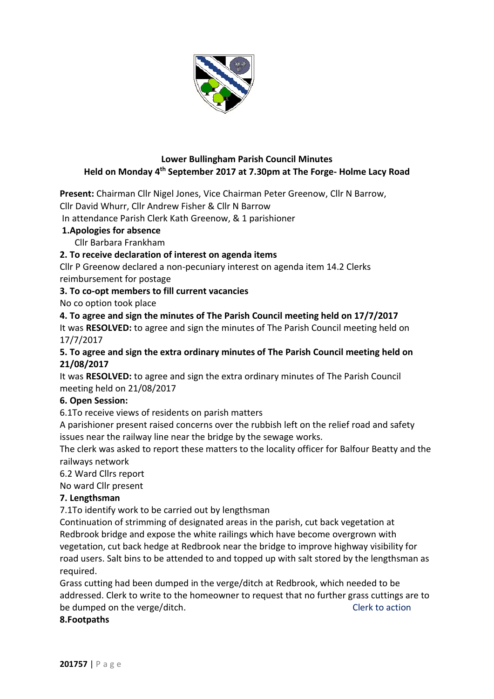

## **Lower Bullingham Parish Council Minutes Held on Monday 4 th September 2017 at 7.30pm at The Forge- Holme Lacy Road**

**Present:** Chairman Cllr Nigel Jones, Vice Chairman Peter Greenow, Cllr N Barrow,

Cllr David Whurr, Cllr Andrew Fisher & Cllr N Barrow

In attendance Parish Clerk Kath Greenow, & 1 parishioner

### **1.Apologies for absence**

Cllr Barbara Frankham

### **2. To receive declaration of interest on agenda items**

Cllr P Greenow declared a non-pecuniary interest on agenda item 14.2 Clerks reimbursement for postage

### **3. To co-opt members to fill current vacancies**

No co option took place

**4. To agree and sign the minutes of The Parish Council meeting held on 17/7/2017** It was **RESOLVED:** to agree and sign the minutes of The Parish Council meeting held on 17/7/2017

### **5. To agree and sign the extra ordinary minutes of The Parish Council meeting held on 21/08/2017**

It was **RESOLVED:** to agree and sign the extra ordinary minutes of The Parish Council meeting held on 21/08/2017

### **6. Open Session:**

6.1To receive views of residents on parish matters

A parishioner present raised concerns over the rubbish left on the relief road and safety issues near the railway line near the bridge by the sewage works.

The clerk was asked to report these matters to the locality officer for Balfour Beatty and the railways network

6.2 Ward Cllrs report

No ward Cllr present

### **7. Lengthsman**

7.1To identify work to be carried out by lengthsman

Continuation of strimming of designated areas in the parish, cut back vegetation at Redbrook bridge and expose the white railings which have become overgrown with vegetation, cut back hedge at Redbrook near the bridge to improve highway visibility for road users. Salt bins to be attended to and topped up with salt stored by the lengthsman as required.

Grass cutting had been dumped in the verge/ditch at Redbrook, which needed to be addressed. Clerk to write to the homeowner to request that no further grass cuttings are to be dumped on the verge/ditch. The contraction of the contraction of the contraction of the verge of the contraction

#### **8.Footpaths**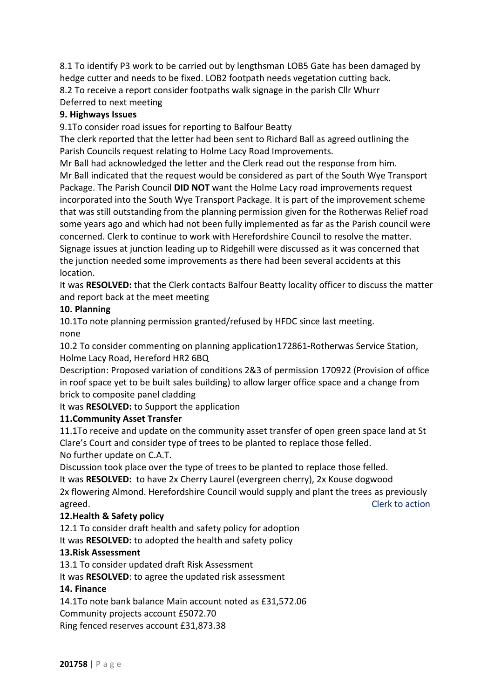8.1 To identify P3 work to be carried out by lengthsman LOB5 Gate has been damaged by hedge cutter and needs to be fixed. LOB2 footpath needs vegetation cutting back. 8.2 To receive a report consider footpaths walk signage in the parish Cllr Whurr Deferred to next meeting

### **9. Highways Issues**

9.1To consider road issues for reporting to Balfour Beatty

The clerk reported that the letter had been sent to Richard Ball as agreed outlining the Parish Councils request relating to Holme Lacy Road Improvements.

Mr Ball had acknowledged the letter and the Clerk read out the response from him. Mr Ball indicated that the request would be considered as part of the South Wye Transport Package. The Parish Council **DID NOT** want the Holme Lacy road improvements request incorporated into the South Wye Transport Package. It is part of the improvement scheme that was still outstanding from the planning permission given for the Rotherwas Relief road some years ago and which had not been fully implemented as far as the Parish council were concerned. Clerk to continue to work with Herefordshire Council to resolve the matter. Signage issues at junction leading up to Ridgehill were discussed as it was concerned that the junction needed some improvements as there had been several accidents at this location.

It was **RESOLVED:** that the Clerk contacts Balfour Beatty locality officer to discuss the matter and report back at the meet meeting

#### **10. Planning**

10.1To note planning permission granted/refused by HFDC since last meeting. none

10.2 To consider commenting on planning application172861-Rotherwas Service Station, Holme Lacy Road, Hereford HR2 6BQ

Description: Proposed variation of conditions 2&3 of permission 170922 (Provision of office in roof space yet to be built sales building) to allow larger office space and a change from brick to composite panel cladding

It was **RESOLVED:** to Support the application

### **11.Community Asset Transfer**

11.1To receive and update on the community asset transfer of open green space land at St Clare's Court and consider type of trees to be planted to replace those felled. No further update on C.A.T.

Discussion took place over the type of trees to be planted to replace those felled.

It was **RESOLVED:** to have 2x Cherry Laurel (evergreen cherry), 2x Kouse dogwood 2x flowering Almond. Herefordshire Council would supply and plant the trees as previously agreed. The contraction of the contraction of the contraction of the contraction of the contraction of the contraction of the contraction of the contraction of the contraction of the contraction of the contraction of the c

### **12.Health & Safety policy**

12.1 To consider draft health and safety policy for adoption

It was **RESOLVED:** to adopted the health and safety policy

### **13.Risk Assessment**

13.1 To consider updated draft Risk Assessment

It was **RESOLVED**: to agree the updated risk assessment

#### **14. Finance**

14.1To note bank balance Main account noted as £31,572.06

Community projects account £5072.70

Ring fenced reserves account £31,873.38